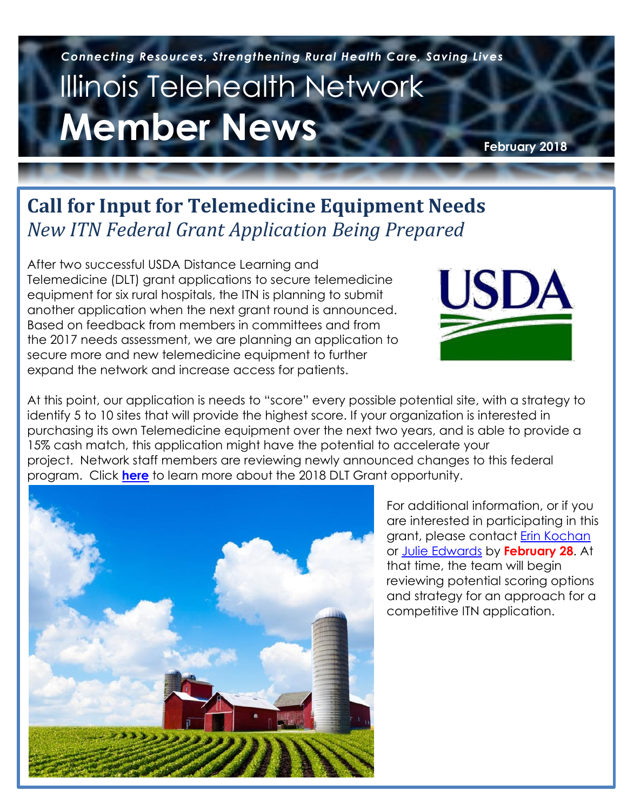# Illinois Telehealth Network **Member News**  *Connecting Resources, Strengthening Rural Health Care, Saving Lives*

**February 2018**

# **Call for Input for Telemedicine Equipment Needs** *New ITN Federal Grant Application Being Prepared*

After two successful USDA Distance Learning and Telemedicine (DLT) grant applications to secure telemedicine equipment for six rural hospitals, the ITN is planning to submit another application when the next grant round is announced. Based on feedback from members in committees and from the 2017 needs assessment, we are planning an application to secure more and new telemedicine equipment to further expand the network and increase access for patients.



At this point, our application is needs to "score" every possible potential site, with a strategy to identify 5 to 10 sites that will provide the highest score. If your organization is interested in purchasing its own Telemedicine equipment over the next two years, and is able to provide a 15% cash match, this application might have the potential to accelerate your project. Network staff members are reviewing newly announced changes to this federal program. Click **[here](https://www.dropbox.com/s/6wqkgca7e3deyof/2018%20DLT%20Outreach%20MO%20-%20Feb%207%20-%20%28email%20version%29.pdf?dl=0)** to learn more about the 2018 DLT Grant opportunity.



For additional information, or if you are interested in participating in this grant, please contact [Erin Kochan](mailto:ekochan@illinoistelehealthnetwork.org) or [Julie Edwards](mailto:jedwards@illinoistelehealthnetwork.org) by **February 28**. At that time, the team will begin reviewing potential scoring options and strategy for an approach for a competitive ITN application.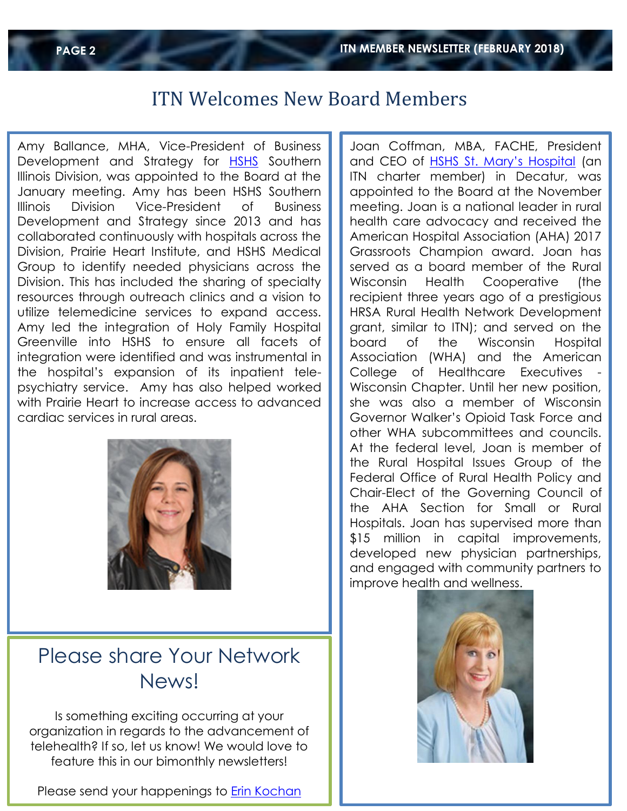### ITN Welcomes New Board Members

Amy Ballance, MHA, Vice-President of Business Development and Strategy for [HSHS](http://www.hshs.org/) Southern Illinois Division, was appointed to the Board at the January meeting. Amy has been HSHS Southern Illinois Division Vice-President of Business Development and Strategy since 2013 and has collaborated continuously with hospitals across the Division, Prairie Heart Institute, and HSHS Medical Group to identify needed physicians across the Division. This has included the sharing of specialty resources through outreach clinics and a vision to utilize telemedicine services to expand access. Amy led the integration of Holy Family Hospital Greenville into HSHS to ensure all facets of integration were identified and was instrumental in the hospital's expansion of its inpatient telepsychiatry service. Amy has also helped worked with Prairie Heart to increase access to advanced cardiac services in rural areas.



## Please share Your Network News!

Is something exciting occurring at your organization in regards to the advancement of telehealth? If so, let us know! We would love to feature this in our bimonthly newsletters!

Please send your happenings to [Erin Kochan](mailto:ekochan@illinoistelehealthnetwork.org)

Joan Coffman, MBA, FACHE, President and CEO of HSHS St. [Mary's Hospital](https://www.stmarysdecatur.com/) (an ITN charter member) in Decatur, was appointed to the Board at the November meeting. Joan is a national leader in rural health care advocacy and received the American Hospital Association (AHA) 2017 Grassroots Champion award. Joan has served as a board member of the Rural Wisconsin Health Cooperative (the recipient three years ago of a prestigious HRSA Rural Health Network Development grant, similar to ITN); and served on the board of the Wisconsin Hospital Association (WHA) and the American College of Healthcare Executives Wisconsin Chapter. Until her new position, she was also a member of Wisconsin Governor Walker's Opioid Task Force and other WHA subcommittees and councils. At the federal level, Joan is member of the Rural Hospital Issues Group of the Federal Office of Rural Health Policy and Chair-Elect of the Governing Council of the AHA Section for Small or Rural Hospitals. Joan has supervised more than \$15 million in capital improvements, developed new physician partnerships, and engaged with community partners to improve health and wellness.

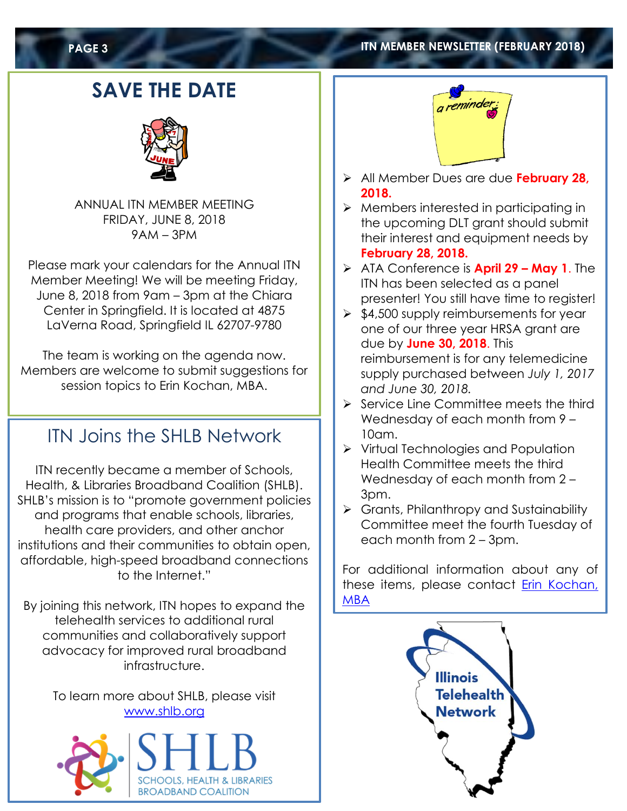#### **PAGE 3 ITN MEMBER NEWSLETTER (FEBRUARY 2018)**

# **SAVE THE DATE**



ANNUAL ITN MEMBER MEETING FRIDAY, JUNE 8, 2018 9AM – 3PM

Please mark your calendars for the Annual ITN Member Meeting! We will be meeting Friday, June 8, 2018 from 9am – 3pm at the Chiara Center in Springfield. It is located at 4875 LaVerna Road, Springfield IL 62707-9780

The team is working on the agenda now. Members are welcome to submit suggestions for session topics to Erin Kochan, MBA.

### ITN Joins the SHLB Network

ITN recently became a member of Schools, Health, & Libraries Broadband Coalition (SHLB). SHLB's mission is to "promote government policies and programs that enable schools, libraries, health care providers, and other anchor institutions and their communities to obtain open, affordable, high-speed broadband connections to the Internet."

By joining this network, ITN hopes to expand the telehealth services to additional rural communities and collaboratively support advocacy for improved rural broadband infrastructure.

> To learn more about SHLB, please visit [www.shlb.org](http://www.shlb.org/)





- All Member Dues are due **February 28, 2018.**
- $\triangleright$  Members interested in participating in the upcoming DLT grant should submit their interest and equipment needs by **February 28, 2018.**
- ATA Conference is **April 29 – May 1**. The ITN has been selected as a panel presenter! You still have time to register!
- $\geq$  \$4,500 supply reimbursements for year one of our three year HRSA grant are due by **June 30, 2018**. This reimbursement is for any telemedicine supply purchased between *July 1, 2017 and June 30, 2018.*
- $\triangleright$  Service Line Committee meets the third Wednesday of each month from 9 – 10am.
- $\triangleright$  Virtual Technologies and Population Health Committee meets the third Wednesday of each month from 2 – 3pm.
- $\triangleright$  Grants, Philanthropy and Sustainability Committee meet the fourth Tuesday of each month from 2 – 3pm.

For additional information about any of these items, please contact Erin Kochan, [MBA](mailto:ekochan@illinoistelehealthnetwork.org)